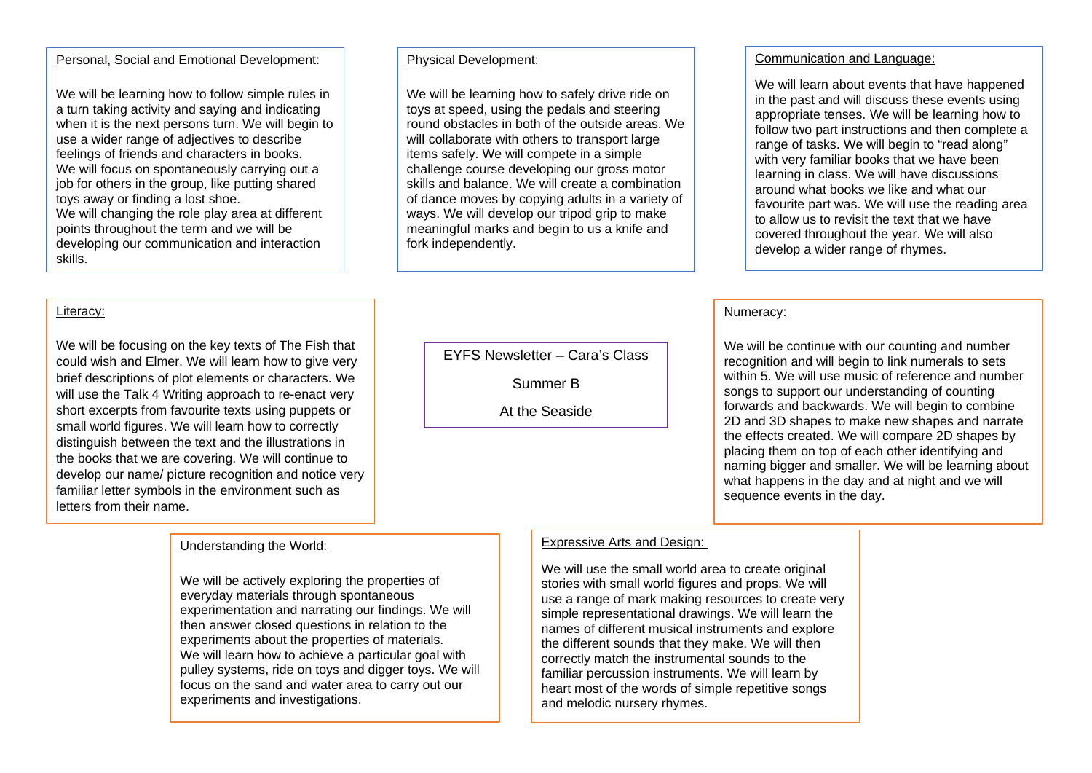### Personal, Social and Emotional Development:

We will be learning how to follow simple rules in a turn taking activity and saying and indicating when it is the next persons turn. We will begin to use a wider range of adjectives to describe feelings of friends and characters in books. We will focus on spontaneously carrying out a job for others in the group, like putting shared toys away or finding a lost shoe. We will changing the role play area at different points throughout the term and we will be developing our communication and interaction skills.

### Literacy:

We will be focusing on the key texts of The Fish that could wish and Elmer. We will learn how to give very brief descriptions of plot elements or characters. We will use the Talk 4 Writing approach to re-enact very short excerpts from favourite texts using puppets or small world figures. We will learn how to correctly distinguish between the text and the illustrations in the books that we are covering. We will continue to develop our name/ picture recognition and notice very familiar letter symbols in the environment such as letters from their name.

## Understanding the World:

We will be actively exploring the properties of everyday materials through spontaneous experimentation and narrating our findings. We will then answer closed questions in relation to the experiments about the properties of materials. We will learn how to achieve a particular goal with pulley systems, ride on toys and digger toys. We will focus on the sand and water area to carry out our experiments and investigations.

#### Physical Development:

We will be learning how to safely drive ride on toys at speed, using the pedals and steering round obstacles in both of the outside areas. We will collaborate with others to transport large items safely. We will compete in a simple challenge course developing our gross motor skills and balance. We will create a combination of dance moves by copying adults in a variety of ways. We will develop our tripod grip to make meaningful marks and begin to us a knife and fork independently.

EYFS Newsletter – Cara's Class

Summer B

At the Seaside

# Communication and Language:

We will learn about events that have happened in the past and will discuss these events using appropriate tenses. We will be learning how to follow two part instructions and then complete a range of tasks. We will begin to "read along" with very familiar books that we have been learning in class. We will have discussions around what books we like and what our favourite part was. We will use the reading area to allow us to revisit the text that we have covered throughout the year. We will also develop a wider range of rhymes.

#### Numeracy:

We will be continue with our counting and number recognition and will begin to link numerals to sets within 5. We will use music of reference and number songs to support our understanding of counting forwards and backwards. We will begin to combine 2D and 3D shapes to make new shapes and narrate the effects created. We will compare 2D shapes by placing them on top of each other identifying and naming bigger and smaller. We will be learning about what happens in the day and at night and we will sequence events in the day.

## Expressive Arts and Design:

We will use the small world area to create original stories with small world figures and props. We will use a range of mark making resources to create very simple representational drawings. We will learn the names of different musical instruments and explore the different sounds that they make. We will then correctly match the instrumental sounds to the familiar percussion instruments. We will learn by heart most of the words of simple repetitive songs and melodic nursery rhymes.